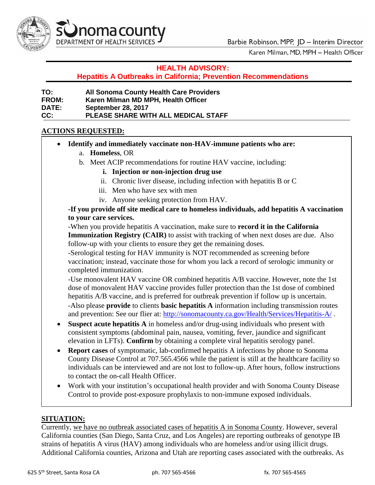

Karen Milman, MD, MPH - Health Officer

## **HEALTH ADVISORY:**

**Hepatitis A Outbreaks in California; Prevention Recommendations** 

| TO:          | <b>All Sonoma County Health Care Providers</b> |
|--------------|------------------------------------------------|
| <b>FROM:</b> | Karen Milman MD MPH, Health Officer            |
| <b>DATE:</b> | <b>September 28, 2017</b>                      |
| CC.          | <b>PLEASE SHARE WITH ALL MEDICAL STAFF</b>     |

## **ACTIONS REQUESTED:**

- **Identify and immediately vaccinate non-HAV-immune patients who are:**
	- a. **Homeless**, OR
	- b. Meet ACIP recommendations for routine HAV vaccine, including:
		- **i. Injection or non-injection drug use**
		- ii. Chronic liver disease, including infection with hepatitis B or C
		- iii. Men who have sex with men
		- iv. Anyone seeking protection from HAV.

## **-If you provide off site medical care to homeless individuals, add hepatitis A vaccination to your care services.**

-When you provide hepatitis A vaccination, make sure to **record it in the California Immunization Registry (CAIR)** to assist with tracking of when next doses are due. Also follow-up with your clients to ensure they get the remaining doses.

-Serological testing for HAV immunity is NOT recommended as screening before vaccination; instead, vaccinate those for whom you lack a record of serologic immunity or completed immunization.

-Use monovalent HAV vaccine OR combined hepatitis A/B vaccine. However, note the 1st dose of monovalent HAV vaccine provides fuller protection than the 1st dose of combined hepatitis A/B vaccine, and is preferred for outbreak prevention if follow up is uncertain. -Also please **provide** to clients **basic hepatitis A** information including transmission routes and prevention: See our flier at:<http://sonomacounty.ca.gov/Health/Services/Hepatitis-A/>.

- **Suspect acute hepatitis A** in homeless and/or drug-using individuals who present with consistent symptoms (abdominal pain, nausea, vomiting, fever, jaundice and significant elevation in LFTs). **Confirm** by obtaining a complete viral hepatitis serology panel.
- **Report cases** of symptomatic, lab-confirmed hepatitis A infections by phone to Sonoma County Disease Control at 707.565.4566 while the patient is still at the healthcare facility so individuals can be interviewed and are not lost to follow-up. After hours, follow instructions to contact the on-call Health Officer.
- Work with your institution's occupational health provider and with Sonoma County Disease Control to provide post-exposure prophylaxis to non-immune exposed individuals.

# **SITUATION:**

Currently, we have no outbreak associated cases of hepatitis A in Sonoma County. However, several California counties (San Diego, Santa Cruz, and Los Angeles) are reporting outbreaks of genotype IB strains of hepatitis A virus (HAV) among individuals who are homeless and/or using illicit drugs. Additional California counties, Arizona and Utah are reporting cases associated with the outbreaks. As